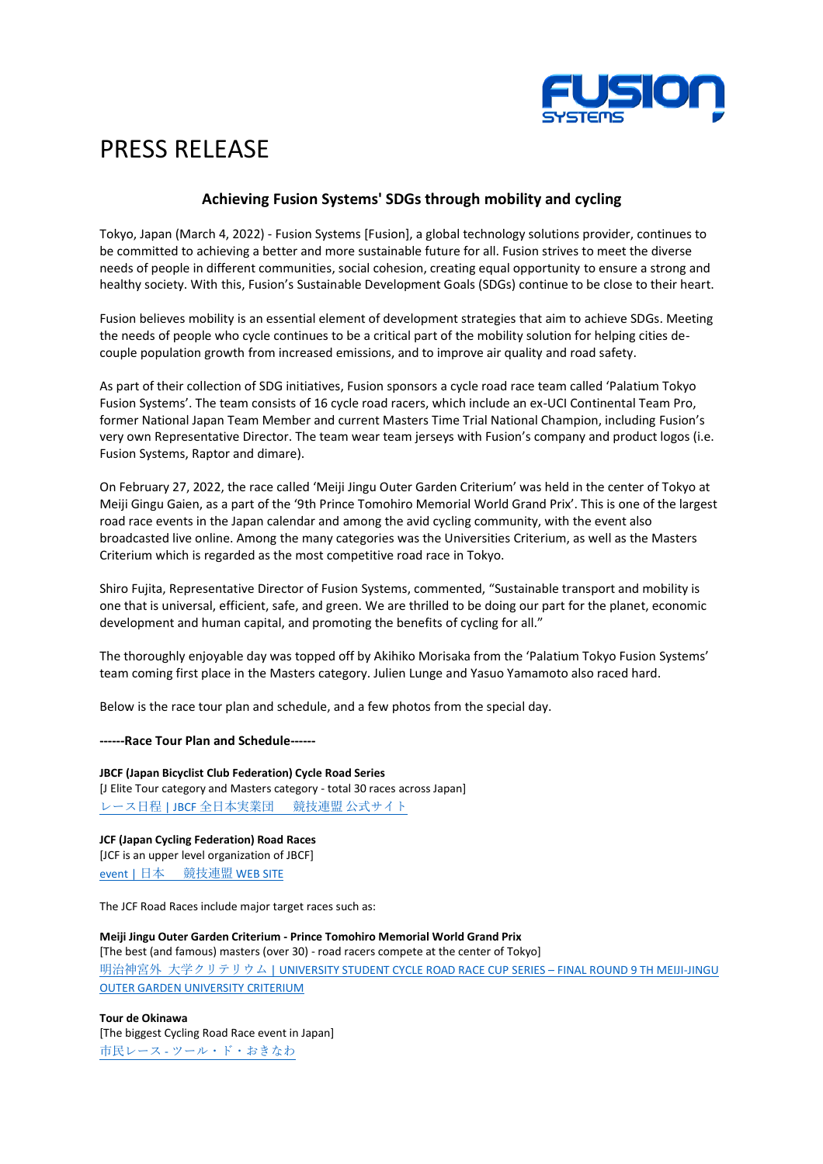

## PRESS RELEASE

## **Achieving Fusion Systems' SDGs through mobility and cycling**

Tokyo, Japan (March 4, 2022) - Fusion Systems [Fusion], a global technology solutions provider, continues to be committed to achieving a better and more sustainable future for all. Fusion strives to meet the diverse needs of people in different communities, social cohesion, creating equal opportunity to ensure a strong and healthy society. With this, Fusion's Sustainable Development Goals (SDGs) continue to be close to their heart.

Fusion believes mobility is an essential element of development strategies that aim to achieve SDGs. Meeting the needs of people who cycle continues to be a critical part of the mobility solution for helping cities decouple population growth from increased emissions, and to improve air quality and road safety.

As part of their collection of SDG initiatives, Fusion sponsors a cycle road race team called 'Palatium Tokyo Fusion Systems'. The team consists of 16 cycle road racers, which include an ex-UCI Continental Team Pro, former National Japan Team Member and current Masters Time Trial National Champion, including Fusion's very own Representative Director. The team wear team jerseys with Fusion's company and product logos (i.e. Fusion Systems, Raptor and dimare).

On February 27, 2022, the race called 'Meiji Jingu Outer Garden Criterium' was held in the center of Tokyo at Meiji Gingu Gaien, as a part of the '9th Prince Tomohiro Memorial World Grand Prix'. This is one of the largest road race events in the Japan calendar and among the avid cycling community, with the event also broadcasted live online. Among the many categories was the Universities Criterium, as well as the Masters Criterium which is regarded as the most competitive road race in Tokyo.

Shiro Fujita, Representative Director of Fusion Systems, commented, "Sustainable transport and mobility is one that is universal, efficient, safe, and green. We are thrilled to be doing our part for the planet, economic development and human capital, and promoting the benefits of cycling for all."

The thoroughly enjoyable day was topped off by Akihiko Morisaka from the 'Palatium Tokyo Fusion Systems' team coming first place in the Masters category. Julien Lunge and Yasuo Yamamoto also raced hard.

Below is the race tour plan and schedule, and a few photos from the special day.

**------Race Tour Plan and Schedule------**

**JBCF (Japan Bicyclist Club Federation) Cycle Road Series** [J Elite Tour category and Masters category - total 30 races across Japan] レース日程 | JBCF [全日本実業団](https://jbcfroad.jp/schedule/) 競技連盟 公式サイト

**JCF (Japan Cycling Federation) Road Races** [JCF is an upper level organization of JBCF] event | 日本 [競技連盟](https://jcf.or.jp/road/event/?y=2022) WEB SITE

The JCF Road Races include major target races such as:

**Meiji Jingu Outer Garden Criterium - Prince Tomohiro Memorial World Grand Prix** [The best (and famous) masters (over 30) - road racers compete at the center of Tokyo] 明治神宮外 大学クリテリウム [| UNIVERSITY STUDENT CYCLE ROAD RACE CUP](https://gaiencriterium.tokyo/) SERIES – FINAL ROUND 9 TH MEIJI-JINGU [OUTER GARDEN UNIVERSITY CRITERIUM](https://gaiencriterium.tokyo/)

**Tour de Okinawa** [The biggest Cycling Road Race event in Japan] 市民レース - [ツール・ド・おきなわ](http://www.tour-de-okinawa.jp/COURSE/citizen_road_race.html)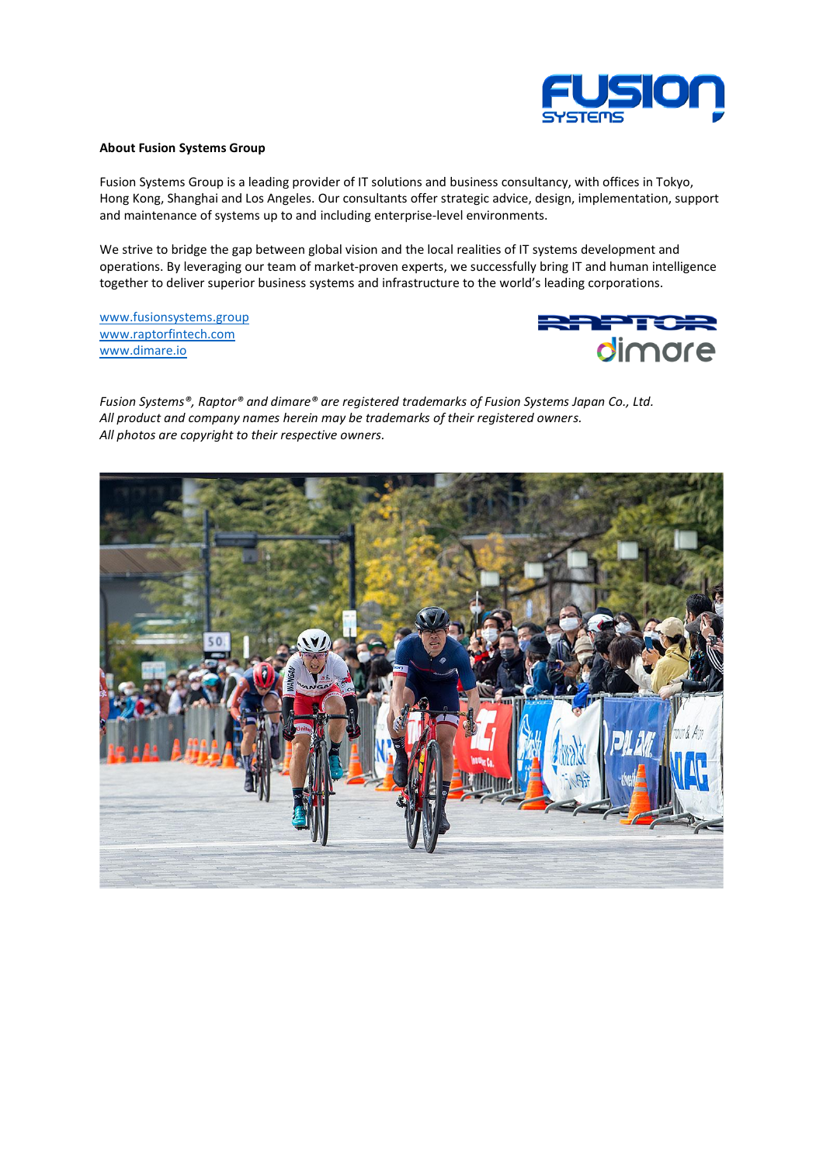

## **About Fusion Systems Group**

Fusion Systems Group is a leading provider of IT solutions and business consultancy, with offices in Tokyo, Hong Kong, Shanghai and Los Angeles. Our consultants offer strategic advice, design, implementation, support and maintenance of systems up to and including enterprise-level environments.

We strive to bridge the gap between global vision and the local realities of IT systems development and operations. By leveraging our team of market-proven experts, we successfully bring IT and human intelligence together to deliver superior business systems and infrastructure to the world's leading corporations.

[www.fusionsystems.group](https://www.fusionsystems.group/) [www.raptorfintech.com](https://www.raptorfintech.com/) [www.dimare.io](https://www.dimare.io/)



*Fusion Systems®, Raptor® and dimare® are registered trademarks of Fusion Systems Japan Co., Ltd. All product and company names herein may be trademarks of their registered owners. All photos are copyright to their respective owners.*